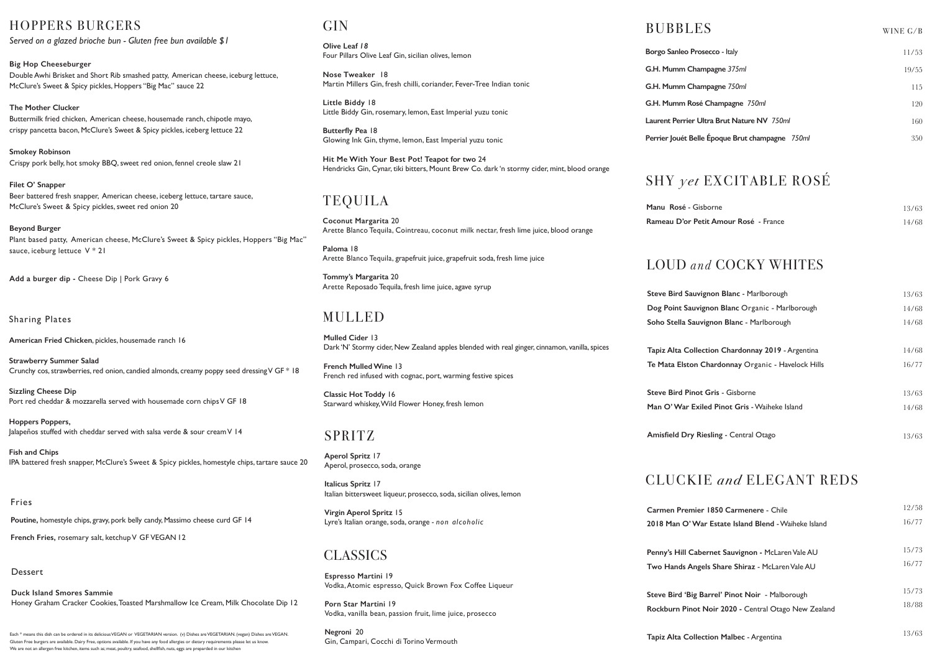**Espresso Martini** 19 Vodka, Atomic espresso, Quick Brown Fox Coffee Liqueur

**Porn Star Martini** 19 Vodka, vanilla bean, passion fruit, lime juice, prosecco

**Negroni** 20 Gin, Campari, Cocchi di Torino Vermouth

**Olive Leaf** *18* Four Pillars Olive Leaf Gin, sicilian olives, lemon

**Nose Tweaker** 18 Martin Millers Gin, fresh chilli, coriander, Fever-Tree Indian tonic

**Little Biddy** 18 Little Biddy Gin, rosemary, lemon, East Imperial yuzu tonic

**Butterfly Pea** 18 Glowing Ink Gin, thyme, lemon, East Imperial yuzu tonic

**Hit Me With Your Best Pot! Teapot for two** 24 Hendricks Gin, Cynar, tiki bitters, Mount Brew Co. dark 'n stormy cider, mint, blood orange

### **G.H. Mumm Rosé Champagne** *750ml*  **Laurent Perrier Ultra Brut Nature NV** *750ml*  **Perrier Jouét Belle Époque Brut champagne** *750ml* 11/53 19/55 115 120 160 350  $\rm \bf GIN$  wine G/B  $\rm \bf BUBBLES$

## LOUD *and* COCKY WHITES

# CLUCKIE *and* ELEGANT REDS

**Carmen Premier 2018 Man O' Wai** 

Penny's Hill Cabe **Two Hands Ange** 

**Steve Bird 'Big Barry Rockburn Pinot** 

| z <b>non Blanc -</b> Marlborough       | 13/63 |
|----------------------------------------|-------|
| mon Blanc Organic - Marlborough        | 14/68 |
| ignon Blanc - Marlborough              | 14/68 |
|                                        |       |
| tion Chardonnay 2019 - Argentina       | 14/68 |
| Chardonnay Organic - Havelock Hills    | 16/77 |
|                                        |       |
| Gris - Gisborne                        | 13/63 |
| e <b>d Pinot Gris -</b> Waiheke Island | 14/68 |
|                                        |       |
| esling - Central Otago                 | 13/63 |
|                                        |       |

| 1850 Carmenere - Chile                     | 12/58 |
|--------------------------------------------|-------|
| r Estate Island Blend - Waiheke Island     | 16/77 |
|                                            |       |
| ernet Sauvignon - McLaren Vale AU          | 15/73 |
| l <b>ls Share Shiraz -</b> McLaren Vale AU | 16/77 |
|                                            |       |
| arrel' Pinot Noir - Malborough             | 15/73 |
| Noir 2020 - Central Otago New Zealand      | 18/88 |
|                                            |       |

**Borgo Sanleo Prosecco** - Italy **G.H. Mumm Champagne** *375ml*  **G.H. Mumm Champagne** *750ml* 

**Manu Rosé - Gisb Rameau D'or Pet** 

**Steve Bird Sauvig Dog Point Sauvig Soho Stella Sauv** 

**Tapiz Alta Collec Te Mata Elston C** 

**Steve Bird Pinot Man O' War Exil** 

**Amisfield Dry Rie** 

# BUBBLES

| borne                           | 13/63 |
|---------------------------------|-------|
| i <b>t Amour Rosé  -</b> France | 14/68 |

## SHY *yet* EXCITABLE ROSÉ

#### Fries

**Poutine,** homestyle chips, gravy, pork belly candy, Massimo cheese curd GF 14

**French Fries,** rosemary salt, ketchup V GF VEGAN 12

#### **Dessert**

**Duck Island Smores Sammie** Honey Graham Cracker Cookies, Toasted Marshmallow Ice Cream, Milk Chocolate Dip 12

## HOPPERS BURGERS

*Served on a glazed brioche bun - Gluten free bun available \$1*

**Big Hop Cheeseburger** Double Awhi Brisket and Short Rib smashed patty, American cheese, iceburg lettuce, McClure's Sweet & Spicy pickles, Hoppers "Big Mac" sauce 22

**The Mother Clucker**  Buttermilk fried chicken, American cheese, housemade ranch, chipotle mayo, crispy pancetta bacon, McClure's Sweet & Spicy pickles, iceberg lettuce 22

**Smokey Robinson** Crispy pork belly, hot smoky BBQ, sweet red onion, fennel creole slaw 21

**Filet O' Snapper** Beer battered fresh snapper, American cheese, iceberg lettuce, tartare sauce, McClure's Sweet & Spicy pickles, sweet red onion 20

**Beyond Burger** Plant based patty, American cheese, McClure's Sweet & Spicy pickles, Hoppers "Big Mac" sauce, iceburg lettuce V \* 21

**Add a burger dip -** Cheese Dip | Pork Gravy 6

Sharing Plates

**American Fried Chicken**, pickles, housemade ranch 16

**Strawberry Summer Salad** Crunchy cos, strawberries, red onion, candied almonds, creamy poppy seed dressing V GF \* 18

**Sizzling Cheese Dip** Port red cheddar & mozzarella served with housemade corn chips V GF 18

**Hoppers Poppers,**  Jalapeños stuffed with cheddar served with salsa verde & sour cream V 14

**Fish and Chips** IPA battered fresh snapper, McClure's Sweet & Spicy pickles, homestyle chips, tartare sauce 20

Each \* means this dish can be ordered in its delicious VEGAN or VEGETARIAN version. (v) Dishes are VEGETARIAN. (vegan) Dishes are VEGAN. Gluten Free burgers are available. Dairy Free, options available. If you have any food allergies or dietary requirements please let us know. We are not an allergen free kitchen, items such as; meat, poultry, seafood, shellfish, nuts, eggs are preparded in our kitchen

### SPRITZ

**Aperol Spritz** 17 Aperol, prosecco, soda, orange

**Italicus Spritz** 17 Italian bittersweet liqueur, prosecco, soda, sicilian olives, lemon

**Virgin Aperol Spritz** 15 Lyre's Italian orange, soda, orange *- non alcoholic*

## **CLASSICS**

# TEQUILA

**Coconut Margarita** 20 Arette Blanco Tequila, Cointreau, coconut milk nectar, fresh lime juice, blood orange

**Paloma** 18 Arette Blanco Tequila, grapefruit juice, grapefruit soda, fresh lime juice

**Tommy's Margarita** 20 Arette Reposado Tequila, fresh lime juice, agave syrup

**Mulled Cider** 13 Dark 'N' Stormy cider, New Zealand apples blended with real ginger, cinnamon, vanilla, spices

**French Mulled Wine** 13 French red infused with cognac, port, warming festive spices

**Classic Hot Toddy** 16 Starward whiskey, Wild Flower Honey, fresh lemon

## MULLED